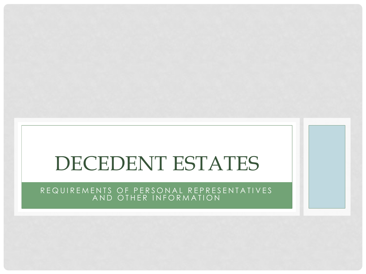# DECEDENT ESTATES

#### R E Q U I R E M E N T S O F P E R S O N A L R E P R E S E N T A T I V E S A N D O THER IN FORMATION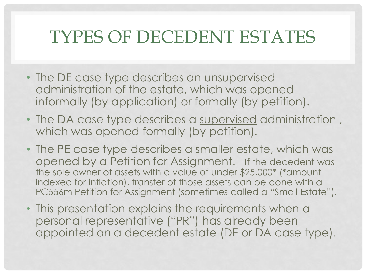## TYPES OF DECEDENT ESTATES

- The DE case type describes an unsupervised administration of the estate, which was opened informally (by application) or formally (by petition).
- The DA case type describes a supervised administration , which was opened formally (by petition).
- The PE case type describes a smaller estate, which was opened by a Petition for Assignment. If the decedent was the sole owner of assets with a value of under \$25,000\* (\*amount indexed for inflation), transfer of those assets can be done with a PC556m Petition for Assignment (sometimes called a "Small Estate").
- This presentation explains the requirements when a personal representative ("PR") has already been appointed on a decedent estate (DE or DA case type).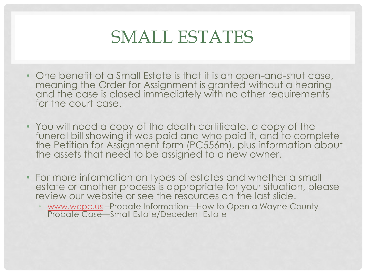#### SMALL ESTATES

- One benefit of a Small Estate is that it is an open-and-shut case, meaning the Order for Assignment is granted without a hearing and the case is closed immediately with no other requirements for the court case.
- You will need a copy of the death certificate, a copy of the funeral bill showing if was paid and who paid it, and to complete the Petition for Assignment form (PC556m), plus information about the assets that need to be assigned to a new owner.
- For more information on types of estates and whether a small estate or another process is appropriate for your situation, please review our website or see the resources on the last slide.
	- [www.wcpc.us](http://www.wcpc.us/) -Probate Information-How to Open a Wayne County Probate Case—Small Estate/Decedent Estate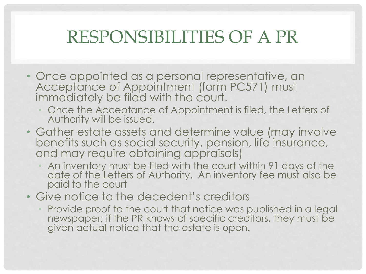## RESPONSIBILITIES OF A PR

- Once appointed as a personal representative, an Acceptance of Appointment (form PC571) must immediately be filed with the court.
	- Once the Acceptance of Appointment is filed, the Letters of Authority will be issued.
- Gather estate assets and determine value (may involve benefits such as social security, pension, life insurance, and may require obtaining appraisals)
	- An inventory must be filed with the court within 91 days of the date of the Letters of Authority. An inventory fee must also be paid to the court
- Give notice to the decedent's creditors
	- Provide proof to the court that notice was published in a legal newspaper; if the PR knows of specific creditors, they must be given actual notice that the estate is open.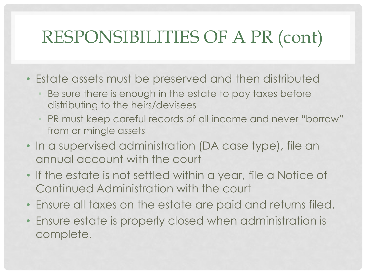# RESPONSIBILITIES OF A PR (cont)

- Estate assets must be preserved and then distributed
	- Be sure there is enough in the estate to pay taxes before distributing to the heirs/devisees
	- PR must keep careful records of all income and never "borrow" from or mingle assets
- In a supervised administration (DA case type), file an annual account with the court
- If the estate is not settled within a year, file a Notice of Continued Administration with the court
- Ensure all taxes on the estate are paid and returns filed.
- Ensure estate is properly closed when administration is complete.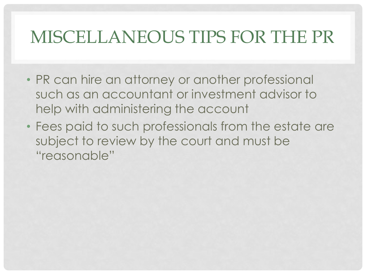## MISCELLANEOUS TIPS FOR THE PR

- PR can hire an attorney or another professional such as an accountant or investment advisor to help with administering the account
- Fees paid to such professionals from the estate are subject to review by the court and must be "reasonable"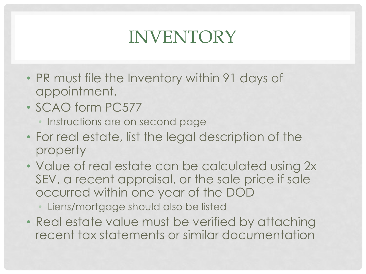# INVENTORY

- PR must file the Inventory within 91 days of appointment.
- SCAO form PC577
	- Instructions are on second page
- For real estate, list the legal description of the property
- Value of real estate can be calculated using 2x SEV, a recent appraisal, or the sale price if sale occurred within one year of the DOD
	- Liens/mortgage should also be listed
- Real estate value must be verified by attaching recent tax statements or similar documentation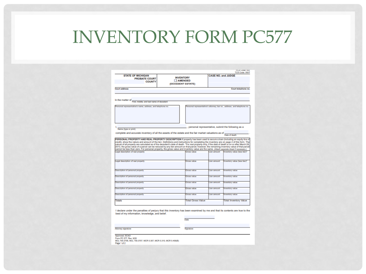#### INVENTORY FORM PC577

**PLO LOOK IN** 

| <b>STATE OF MICHIGAN</b><br><b>PROBATE COURT</b><br><b>COUNTY</b>                                                                                                             | <b>INVENTORY</b><br><b>AMENDED</b><br>(DECEDENT ESTATE) |                    | <b>CASE NO. and JUDGE</b> |                                                                        |
|-------------------------------------------------------------------------------------------------------------------------------------------------------------------------------|---------------------------------------------------------|--------------------|---------------------------|------------------------------------------------------------------------|
| Court address                                                                                                                                                                 |                                                         |                    |                           | Court telephone no.                                                    |
| In the matter of                                                                                                                                                              |                                                         |                    |                           |                                                                        |
| First, middle, and last name of decedent<br>ersonal representative's name, address, and telephone no.                                                                         |                                                         |                    |                           | ersonal representative's attorney, bar no., address, and telephone no. |
|                                                                                                                                                                               |                                                         |                    |                           |                                                                        |
|                                                                                                                                                                               |                                                         |                    |                           | , personal representative, submit the following as a                   |
| Name (type or print)                                                                                                                                                          |                                                         |                    |                           |                                                                        |
| complete and accurate inventory of all the assets of the estate and the fair market valuations as of                                                                          |                                                         |                    |                           | Date of death                                                          |
| cannot be less than zero. For personal property, the gross value and inventory value are the same. (Atach separate sheet if necessary.)<br>Legal description of real property | Gross value                                             |                    | Lien amount               | Inventory value (less lien)*                                           |
| Legal description of real property                                                                                                                                            | Gross value                                             |                    | Lien amount               | Inventory value (less lien)*                                           |
| Description of personal property                                                                                                                                              | <b>Gross value</b>                                      |                    | Lien amount               | <b>Inventory value</b>                                                 |
| Description of personal property                                                                                                                                              | <b>Gross value</b>                                      |                    | Lien amount               | <b>Inventory value</b>                                                 |
|                                                                                                                                                                               |                                                         |                    |                           |                                                                        |
| Description of personal property                                                                                                                                              | <b>Gross value</b>                                      |                    | Lien amount               | <b>Inventory value</b>                                                 |
| Description of personal property                                                                                                                                              |                                                         | <b>Gross value</b> | Lien amount               | <b>Inventory value</b>                                                 |
| Description of personal property                                                                                                                                              | <b>Gross value</b>                                      |                    | Lien amount               | <b>Inventory value</b>                                                 |
| Totals                                                                                                                                                                        | <b>Total Gross Value</b>                                |                    |                           | <b>Total Inventory Value</b>                                           |
| I declare under the penalties of perjury that this inventory has been examined by me and that its contents are true to the<br>best of my information, knowledge, and belief.  |                                                         |                    |                           |                                                                        |
|                                                                                                                                                                               |                                                         |                    |                           |                                                                        |
|                                                                                                                                                                               | Date                                                    |                    |                           |                                                                        |

Attorney signature

Signature

Approved, SCAO<br>Form PC 577, Rev. 9/20

MCL 700.3706, MCL 700.3707, MCR 5.307, MCR 5.310, MCR 5.409(B)

Page 1 of 2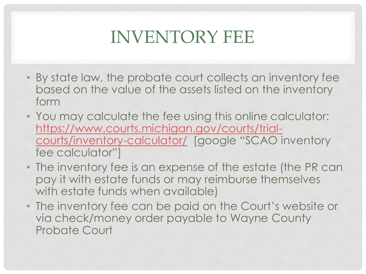## INVENTORY FEE

- By state law, the probate court collects an inventory fee based on the value of the assets listed on the inventory form
- You may calculate the fee using this online calculator: [https://www.courts.michigan.gov/courts/trial](https://www.courts.michigan.gov/courts/trial-courts/inventory-calculator/)[courts/inventory-calculator/](https://www.courts.michigan.gov/courts/trial-courts/inventory-calculator/) [google "SCAO inventory fee calculator"]
- The inventory fee is an expense of the estate (the PR can pay it with estate funds or may reimburse themselves with estate funds when available)
- The inventory fee can be paid on the Court's website or via check/money order payable to Wayne County Probate Court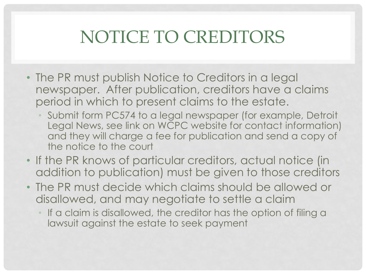# NOTICE TO CREDITORS

- The PR must publish Notice to Creditors in a legal newspaper. After publication, creditors have a claims period in which to present claims to the estate.
	- Submit form PC574 to a legal newspaper (for example, Detroit Legal News, see link on WCPC website for contact information) and they will charge a fee for publication and send a copy of the notice to the court
- If the PR knows of particular creditors, actual notice (in addition to publication) must be given to those creditors
- The PR must decide which claims should be allowed or disallowed, and may negotiate to settle a claim
	- If a claim is disallowed, the creditor has the option of filing a lawsuit against the estate to seek payment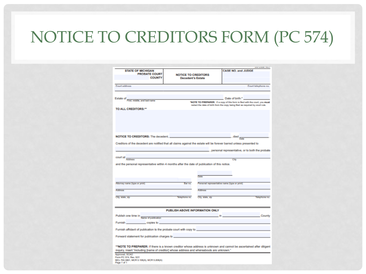## NOTICE TO CREDITORS FORM (PC 574)

| <b>STATE OF MICHIGAN</b><br><b>PROBATE COURT</b><br><b>COUNTY</b>                                                                                                                                                                    | <b>NOTICE TO CREDITORS</b><br><b>Decedent's Estate</b> |                                                                               | <b>CASE NO. and JUDGE</b>                    |                                                 |
|--------------------------------------------------------------------------------------------------------------------------------------------------------------------------------------------------------------------------------------|--------------------------------------------------------|-------------------------------------------------------------------------------|----------------------------------------------|-------------------------------------------------|
| Court address                                                                                                                                                                                                                        |                                                        |                                                                               |                                              | Court telephone no.                             |
|                                                                                                                                                                                                                                      |                                                        |                                                                               |                                              |                                                 |
| Estate of First, middle, and last name                                                                                                                                                                                               |                                                        | "NOTE TO PREPARER: If a copy of this form is filed with the court, you must   | Date of birth:"                              |                                                 |
| TO ALL CREDITORS:"                                                                                                                                                                                                                   |                                                        | redact the date of birth from the copy being filed as required by court rule. |                                              |                                                 |
|                                                                                                                                                                                                                                      |                                                        |                                                                               |                                              |                                                 |
|                                                                                                                                                                                                                                      |                                                        |                                                                               | died                                         |                                                 |
| Creditors of the decedent are notified that all claims against the estate will be forever barred unless presented to                                                                                                                 |                                                        |                                                                               |                                              |                                                 |
|                                                                                                                                                                                                                                      |                                                        |                                                                               |                                              | personal representative, or to both the probate |
| court at                                                                                                                                                                                                                             |                                                        |                                                                               |                                              |                                                 |
| Address<br>and the personal representative within 4 months after the date of publication of this notice.                                                                                                                             |                                                        |                                                                               | City                                         |                                                 |
|                                                                                                                                                                                                                                      |                                                        |                                                                               |                                              |                                                 |
|                                                                                                                                                                                                                                      |                                                        | Date                                                                          |                                              |                                                 |
| Attorney name (type or print)                                                                                                                                                                                                        | Bar no.                                                |                                                                               | Personal representative name (type or print) |                                                 |
| <b>Address</b>                                                                                                                                                                                                                       |                                                        | Address                                                                       |                                              |                                                 |
|                                                                                                                                                                                                                                      | Telephone no.                                          | City, state, zip                                                              |                                              | Telephone no.                                   |
| City, state, zip                                                                                                                                                                                                                     |                                                        |                                                                               |                                              |                                                 |
|                                                                                                                                                                                                                                      |                                                        |                                                                               |                                              |                                                 |
|                                                                                                                                                                                                                                      | PUBLISH ABOVE INFORMATION ONLY                         |                                                                               | $n -$                                        | County                                          |
| Publish one time in Name of publication                                                                                                                                                                                              |                                                        |                                                                               |                                              |                                                 |
| Furnish copies to                                                                                                                                                                                                                    |                                                        |                                                                               |                                              |                                                 |
| Furnish affidavit of publication to the probate court with copy to _________________________________                                                                                                                                 |                                                        |                                                                               |                                              |                                                 |
| Forward statement for publication charges to <b>contract the contract of the contract of the contract of the contract of the contract of the contract of the contract of the contract of the contract of the contract of the con</b> |                                                        |                                                                               |                                              |                                                 |
| **NOTE TO PREPARER: If there is a known creditor whose address is unknown and cannot be ascertained after diligent<br>inquiry, insert "including [name of creditor] whose address and whereabouts are unknown."                      |                                                        |                                                                               |                                              |                                                 |
| Approved, SCAO                                                                                                                                                                                                                       |                                                        |                                                                               |                                              |                                                 |
| Form PC 574, Rev. 5/21<br>MCL 700.3801, MCR 5.106(A), MCR 5.208(A)<br>Page 1 of 1                                                                                                                                                    |                                                        |                                                                               |                                              |                                                 |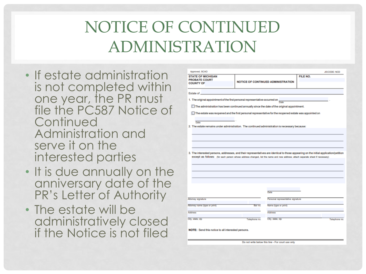### NOTICE OF CONTINUED ADMINISTRATION

- If estate administration is not completed within one year, the PR must file the PC587 Notice of **Continued** Administration and serve it on the interested parties
- It is due annually on the anniversary date of the PR's Letter of Authority
- The estate will be administratively closed if the Notice is not filed

| Approved, SCAO                                                                                                                                                                                                                                                        |               |                                                           |          | <b>JISCODE: NCD</b> |  |  |  |  |
|-----------------------------------------------------------------------------------------------------------------------------------------------------------------------------------------------------------------------------------------------------------------------|---------------|-----------------------------------------------------------|----------|---------------------|--|--|--|--|
| <b>STATE OF MICHIGAN</b><br><b>PROBATE COURT</b><br><b>COUNTY OF</b>                                                                                                                                                                                                  |               | <b>NOTICE OF CONTINUED ADMINISTRATION</b>                 | FILE NO. |                     |  |  |  |  |
| Estate of ____                                                                                                                                                                                                                                                        |               |                                                           |          |                     |  |  |  |  |
| 1. The original appointment of the first personal representative occurred on $\frac{1}{\text{base}}$                                                                                                                                                                  |               |                                                           |          |                     |  |  |  |  |
| The administration has been continued annually since the date of the original appointment.                                                                                                                                                                            |               |                                                           |          |                     |  |  |  |  |
| The estate was reopened and the first personal representative for the reopened estate was appointed on                                                                                                                                                                |               |                                                           |          |                     |  |  |  |  |
| Date                                                                                                                                                                                                                                                                  |               |                                                           |          |                     |  |  |  |  |
| 2. The estate remains under administration. The continued administration is necessary because:                                                                                                                                                                        |               |                                                           |          |                     |  |  |  |  |
|                                                                                                                                                                                                                                                                       |               |                                                           |          |                     |  |  |  |  |
|                                                                                                                                                                                                                                                                       |               |                                                           |          |                     |  |  |  |  |
|                                                                                                                                                                                                                                                                       |               |                                                           |          |                     |  |  |  |  |
| 3. The interested persons, addresses, and their representatives are identical to those appearing on the initial application/petition<br>except as follows: (for each person whose address changed, list the name and new address; attach separate sheet if necessary) |               |                                                           |          |                     |  |  |  |  |
|                                                                                                                                                                                                                                                                       |               |                                                           |          |                     |  |  |  |  |
|                                                                                                                                                                                                                                                                       |               |                                                           |          |                     |  |  |  |  |
|                                                                                                                                                                                                                                                                       |               |                                                           |          |                     |  |  |  |  |
|                                                                                                                                                                                                                                                                       |               |                                                           |          |                     |  |  |  |  |
|                                                                                                                                                                                                                                                                       |               | Date                                                      |          |                     |  |  |  |  |
| Attorney signature                                                                                                                                                                                                                                                    |               | Personal representative signature                         |          |                     |  |  |  |  |
| Atlomey name (type or print)                                                                                                                                                                                                                                          | Bar no.       | Name (type or print)                                      |          |                     |  |  |  |  |
| Address                                                                                                                                                                                                                                                               |               | <b>Address</b>                                            |          |                     |  |  |  |  |
| City, state, zip                                                                                                                                                                                                                                                      | Telephone no. | City, state, zip                                          |          | Telephone no.       |  |  |  |  |
|                                                                                                                                                                                                                                                                       |               |                                                           |          |                     |  |  |  |  |
| NOTE: Send this notice to all interested persons.                                                                                                                                                                                                                     |               |                                                           |          |                     |  |  |  |  |
|                                                                                                                                                                                                                                                                       |               |                                                           |          |                     |  |  |  |  |
|                                                                                                                                                                                                                                                                       |               | The next savitat backers this line. - Eve count uses only |          |                     |  |  |  |  |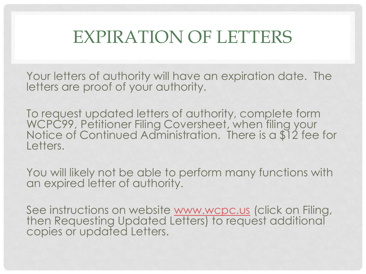## EXPIRATION OF LETTERS

Your letters of authority will have an expiration date. The letters are proof of your authority.

To request updated letters of authority, complete form WCPC99, Petitioner Filing Coversheet, when filing your Notice of Continued Administration. There is a \$12 fee for Letters.

You will likely not be able to perform many functions with an expired letter of authority.

See instructions on website [www.wcpc.us](http://www.wcpc.us/) (click on Filing, then Requesting Updated Letters) to request additional copies or updated Letters.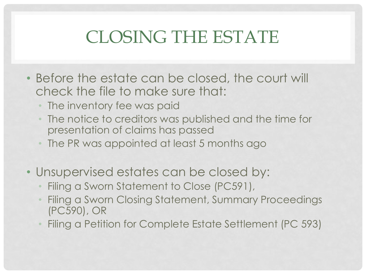## CLOSING THE ESTATE

- Before the estate can be closed, the court will check the file to make sure that:
	- The inventory fee was paid
	- The notice to creditors was published and the time for presentation of claims has passed
	- The PR was appointed at least 5 months ago
- Unsupervised estates can be closed by:
	- Filing a Sworn Statement to Close (PC591),
	- Filing a Sworn Closing Statement, Summary Proceedings (PC590), OR
	- Filing a Petition for Complete Estate Settlement (PC 593)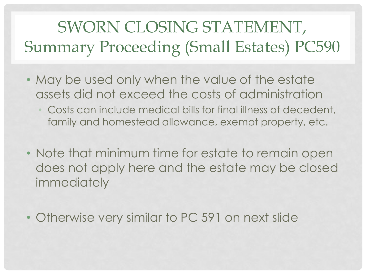## SWORN CLOSING STATEMENT, Summary Proceeding (Small Estates) PC590

- May be used only when the value of the estate assets did not exceed the costs of administration
	- Costs can include medical bills for final illness of decedent, family and homestead allowance, exempt property, etc.
- Note that minimum time for estate to remain open does not apply here and the estate may be closed immediately
- Otherwise very similar to PC 591 on next slide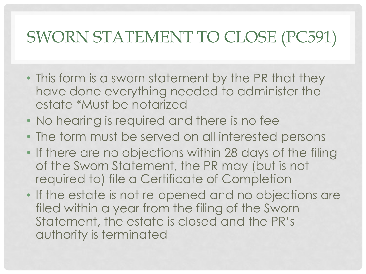#### SWORN STATEMENT TO CLOSE (PC591)

- This form is a sworn statement by the PR that they have done everything needed to administer the estate \*Must be notarized
- No hearing is required and there is no fee
- The form must be served on all interested persons
- If there are no objections within 28 days of the filing of the Sworn Statement, the PR may (but is not required to) file a Certificate of Completion
- If the estate is not re-opened and no objections are filed within a year from the filing of the Sworn Statement, the estate is closed and the PR's authority is terminated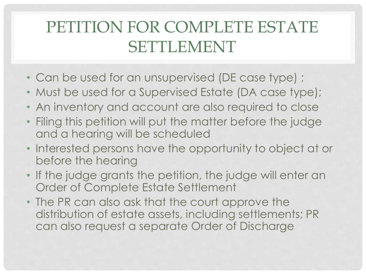#### PETITION FOR COMPLETE ESTATE SETTLEMENT

- Can be used for an unsupervised (DE case type) ;
- Must be used for a Supervised Estate (DA case type);
- An inventory and account are also required to close
- Filing this petition will put the matter before the judge and a hearing will be scheduled
- Interested persons have the opportunity to object at or before the hearing
- If the judge grants the petition, the judge will enter an Order of Complete Estate Settlement
- The PR can also ask that the court approve the distribution of estate assets, including settlements; PR can also request a separate Order of Discharge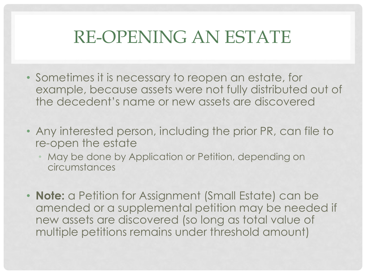## RE-OPENING AN ESTATE

- Sometimes it is necessary to reopen an estate, for example, because assets were not fully distributed out of the decedent's name or new assets are discovered
- Any interested person, including the prior PR, can file to re-open the estate
	- May be done by Application or Petition, depending on circumstances
- **Note:** a Petition for Assignment (Small Estate) can be amended or a supplemental petition may be needed if new assets are discovered (so long as total value of multiple petitions remains under threshold amount)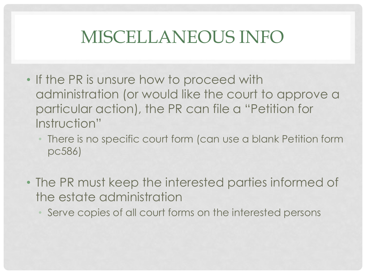## MISCELLANEOUS INFO

- If the PR is unsure how to proceed with administration (or would like the court to approve a particular action), the PR can file a "Petition for Instruction"
	- There is no specific court form (can use a blank Petition form pc586)
- The PR must keep the interested parties informed of the estate administration
	- Serve copies of all court forms on the interested persons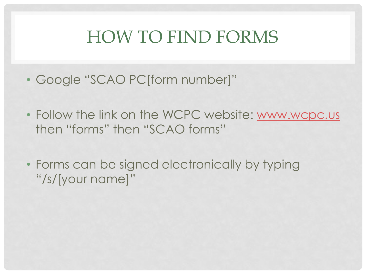## HOW TO FIND FORMS

- Google "SCAO PC[form number]"
- Follow the link on the WCPC website: [www.wcpc.us](http://www.wcpc.us/) then "forms" then "SCAO forms"
- Forms can be signed electronically by typing "/s/[your name]"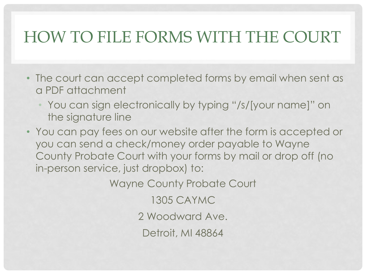#### HOW TO FILE FORMS WITH THE COURT

- The court can accept completed forms by email when sent as a PDF attachment
	- You can sign electronically by typing "/s/[your name]" on the signature line
- You can pay fees on our website after the form is accepted or you can send a check/money order payable to Wayne County Probate Court with your forms by mail or drop off (no in-person service, just dropbox) to:

Wayne County Probate Court

1305 CAYMC

2 Woodward Ave.

Detroit, MI 48864